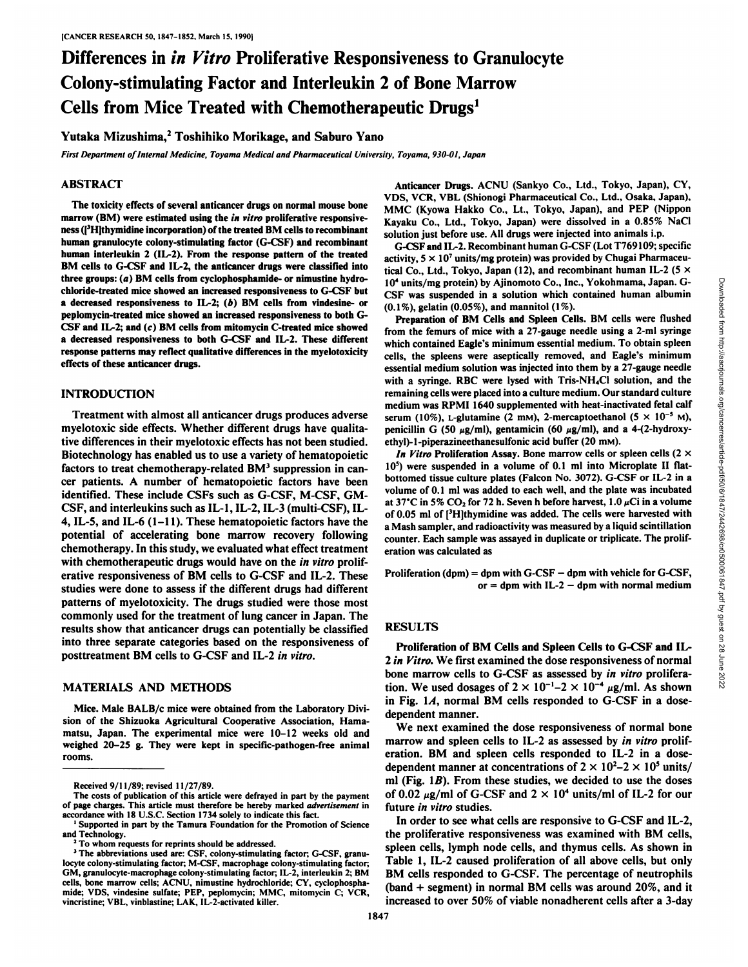# Differences in in Vitro Proliferative Responsiveness to Granulocyte Colony-stimulating Factor and Interleukin 2 of Bone Marrow Cells from Mice Treated with Chemotherapeutic Drugs<sup>1</sup>

# Yutaka Mizushima,<sup>2</sup> Toshihiko Morikage, and Saburo Yano

*First Department of Internal Medicine, Toyama Medical and Pharmaceutical university, Toyama, 930-01, Japan*

### ABSTRACT

The toxicity effects of several anticancer drugs on normal mouse bone marrow (BM) were estimated using the *in vitro* proliferative responsiveness ( $\left\{ \right\}$ <sup>3</sup>H]thymidine incorporation) of the treated BM cells to recombinant human granulocyte colony-stimulating factor (G-CSF) and recombinant human interleukin 2 (IL-2). From the response pattern of the treated BM cells to G-CSF and IL-2, the anticancer drugs were classified into three groups: (a) BM cells from cyclophosphamide- or nimustine hydrochloride-treated mice showed an increased responsiveness to G-CSF but a decreased responsiveness to IL-2; (b) BM cells from vindesine- or peplomycin-treated mice showed an increased responsiveness to both G-CSF and IL-2; and (c) BM cells from mitomycin C-treated mice showed a decreased responsiveness to both G-CSF and IL-2. These different response patterns may reflect qualitative differences in the myelotoxicity effects of these anticancer drugs.

# INTRODUCTION

myelotoxic side effects. Whether different drugs have qualita tive differences in their myelotoxic effects has not been studied. Biotechnology has enabled us to use a variety of hematopoietic factors to treat chemotherapy-related  $BM<sup>3</sup>$  suppression in cancer patients. A number of hematopoietic factors have been identified. These include CSFs such as G-CSF, M-CSF, GM-CSF, and interleukins such as IL-1, IL-2, IL-3 (multi-CSF), IL-4, IL-5, and IL-6 (1-11). These hematopoietic factors have the potential of accelerating bone marrow recovery following chemotherapy. In this study, we evaluated what effect treatment with chemotherapeutic drugs would have on the in vitro proliferative responsiveness of BM cells to G-CSF and IL-2. These studies were done to assess if the different drugs had different patterns of myelotoxicity. The drugs studied were those most commonly used for the treatment of lung cancer in Japan. The results show that anticancer drugs can potentially be classified into three separate categories based on the responsiveness of posttreatment BM cells to G-CSF and IL-2 in vitro.

#### MATERIALS AND METHODS

Mice. Male BALB/c mice were obtained from the Laboratory Divi sion of the Shizuoka Agricultural Cooperative Association, Hamamatsu, Japan. The experimental mice were 10-12 weeks old and weighed 20-25 g. They were kept in specific-pathogen-free animal rooms.

Anticancer Drugs. ACNU (Sankyo Co., Ltd., Tokyo, Japan), CY, VDS, VCR, VBL (Shionogi Pharmaceutical Co., Ltd., Osaka, Japan), MMC (Kyowa Hakko Co., Lt., Tokyo, Japan), and PEP (Nippon Kayaku Co., Ltd., Tokyo, Japan) were dissolved in a 0.85% NaCl solution just before use. All drugs were injected into animals i.p.

G-CSF and IL-2. Recombinant human G-CSF (Lot T769109; specific activity,  $5 \times 10^7$  units/mg protein) was provided by Chugai Pharmaceutical Co., Ltd., Tokyo, Japan (12), and recombinant human IL-2 (5  $\times$ 10" units/mg protein) by Ajinomoto Co., Inc., Yokohmama, Japan. G-(0.1%), gelatin (0.05%), and mannitol (1%).

Treatment with almost all anticancer drugs produces adverse serum (10%), L-glutamine (2 mM), 2-mercaptoethanol (5  $\times$  10<sup>-5</sup> M), 10' units/mg protein by Ajinomoto Co., Inc., Yokohmama, Japan. G-<br>
CSF was suspended in a solution which contained human albumin<br>
(0.1%), gelatin (0.05%), and mannitol (1%).<br> **Preparation of BM Cells and Spieen Cells.** BM Preparation of BM Cells and Spleen Cells. BM cells were flushed from the femurs of mice with a 27-gauge needle using a 2-ml syringe which contained Eagle's minimum essential medium. To obtain spleen cells, the spleens were aseptically removed, and Eagle's minimum essential medium solution was injected into them by a 27-gauge needle with a syringe. RBC were lysed with Tris-NH4Cl solution, and the remaining cells were placed into a culture medium. Our standard culture medium was RPMI 1640 supplemented with heat-inactivated fetal calf penicillin G (50  $\mu$ g/ml), gentamicin (60  $\mu$ g/ml), and a 4-(2-hydroxyethyl)-1-piperazineethanesulfonic acid buffer (20 mm).

*In Vitro Proliferation Assay. Bone marrow cells or spleen cells (2 x*  $10<sup>5</sup>$ ) were suspended in a volume of 0.1 ml into Microplate II flatbottomed tissue culture plates (Falcon No. 3072). G-CSF or IL-2 in a volume of 0.1 ml was added to each well, and the plate was incubated at 37°C in 5% CO<sub>2</sub> for 72 h. Seven h before harvest, 1.0  $\mu$ Ci in a volume of 0.05 ml of [<sup>3</sup>H]thymidine was added. The cells were harvested with a Mash sampler, and radioactivity was measured by a liquid scintillation counter. Each sample was assayed in duplicate or triplicate. The prolif eration was calculated as

Proliferation (dpm) = dpm with  $G-CSF -$  dpm with vehicle for  $G-CSF$ , or = dpm with IL-2  $-$  dpm with normal medium

# RESULTS

Proliferation of BM Cells and Spleen Cells to G-CSF and IL-2 in Vitro. We first examined the dose responsiveness of normal bone marrow cells to G-CSF as assessed by in vitro proliferation. We used dosages of  $2 \times 10^{-1} - 2 \times 10^{-4}$   $\mu$ g/ml. As shown in Fig.  $1A$ , normal BM cells responded to G-CSF in a dosedependent manner.

We next examined the dose responsiveness of normal bone marrow and spleen cells to IL-2 as assessed by *in vitro* proliferation. BM and spleen cells responded to IL-2 in a dosedependent manner at concentrations of  $2 \times 10^{2} - 2 \times 10^{5}$  units/ ml (Fig.  $1B$ ). From these studies, we decided to use the doses of 0.02  $\mu$ g/ml of G-CSF and 2 × 10<sup>4</sup> units/ml of IL-2 for our future in vitro studies.

In order to see what cells are responsive to G-CSF and IL-2, the proliferative responsiveness was examined with BM cells, spleen cells, lymph node cells, and thymus cells. As shown in Table 1, IL-2 caused proliferation of all above cells, but only BM cells responded to G-CSF. The percentage of neutrophils (band + segment) in normal BM cells was around 20%, and it increased to over 50% of viable nonadherent cells after a 3-day

Received 9/11/89; revised 11/27/89.

The costs of publication of this article were defrayed in part by the payment of page charges. This article must therefore be hereby marked *advertisement* in accordance with 18 U.S.C. Section 1734 solely to indicate this fact.

<sup>1</sup>Supported in part by the Tamura Foundation for the Promotion of Science and Technology.<br> $2^2$  To whom requests for reprints should be addressed.

<sup>&</sup>lt;sup>3</sup> The abbreviations used are: CSF, colony-stimulating factor; G-CSF, granulocyte colony-stimulating factor; M-CSF, macrophage colony-stimulating factor; CM, granulocyte-macrophage colony-stimulating factor; IL-2, interleukin 2; BM cells, bone marrow cells; ACNU, nimustine hydrochloride; CY. cyclophospha mide; VDS, vindesine sulfate; PEP, peplomycin; MMC, mitomycin C; VCR, vincristine; VBL, vinblastine; LAR, IL-2-activated killer.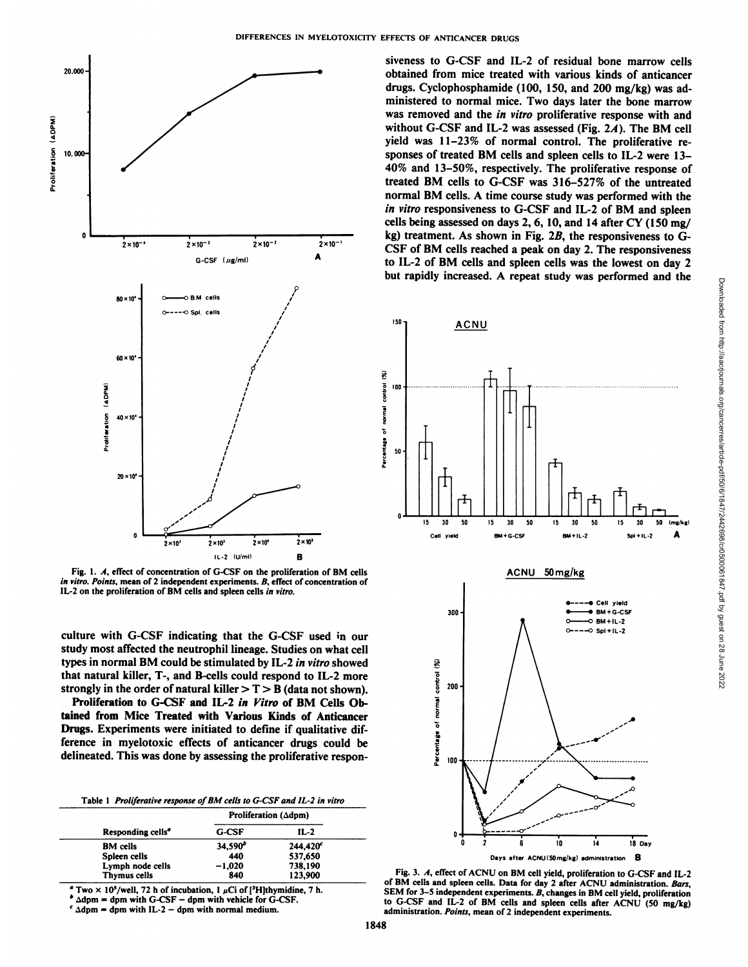

Fig. 1. A, effect of concentration of G-CSF on the proliferation of BM cells *in vitro. Points, mean of 2 independent experiments. B, effect of concentration of* IL-2 on the proliferation of BM cells and spleen cells in vitro.

culture with G-CSF indicating that the G-CSF used in our study most affected the neutrophil lineage. Studies on what cell types in normal BM could be stimulated by IL-2 in vitro showed that natural killer, T-, and B-cells could respond to IL-2 more strongly in the order of natural killer  $> T > B$  (data not shown).

Proliferation to G-CSF and IL-2 in Vitro of BM Cells Obtained from Mice Treated with Various Kinds of Anticancer Drugs. Experiments were initiated to define if qualitative dif ference in myelotoxic effects of anticancer drugs could be delineated. This was done by assessing the proliferative respon-

Table 1 Proliferative response of BM cells to G-CSF and IL-2 in vitro

| Proliferation $(\Delta dpm)$ |                      |  |
|------------------------------|----------------------|--|
| <b>G-CSF</b>                 | $IL-2$               |  |
| 34,590 <sup>b</sup>          | 244,420 <sup>c</sup> |  |
| 440                          | 537,650              |  |
| $-1,020$                     | 738,190              |  |
| 840                          | 123,900              |  |
|                              |                      |  |

Two  $\times$  10<sup>5</sup>/well, 72 h of incubation, 1  $\mu$ Ci of [<sup>3</sup>H]thymidine, 7 h.

 $^{\circ}$   $\Delta$ dpm = dpm with G-CSF - dpm with vehicle for G-CSF.

 $c \Delta d$ pm = dpm with IL-2 – dpm with normal medium.

siveness to G-CSF and IL-2 of residual bone marrow cells obtained from mice treated with various kinds of anticancer drugs. Cyclophosphamide (100, 150, and 200 mg/kg) was ad ministered to normal mice. Two days later the bone marrow was removed and the in vitro proliferative response with and without G-CSF and IL-2 was assessed (Fig. 2A). The BM cell yield was 11-23% of normal control. The proliferative re sponses of treated BM cells and spleen cells to IL-2 were 13- 40% and 13-50%, respectively. The proliferative response of treated BM cells to G-CSF was 316-527% of the untreated normal BM cells. A time course study was performed with the *in vitro responsiveness to G-CSF and IL-2 of BM and spleen* cells being assessed on days 2, 6, 10, and 14 after CY (150 mg/ kg) treatment. As shown in Fig.  $2B$ , the responsiveness to G-CSF of BM cells reached a peak on day 2. The responsiveness to IL-2 of BM cells and spleen cells was the lowest on day 2



Fig. 3. A, effect of ACNU on BM cell yield, proliferation to G-CSF and IL-2 of BM cells and spleen cells. Data for day 2 after ACNU administration. Bars, SEM for 3-5 independent experiments. B, changes in BM cell yield, proliferation to G-CSF and IL-2 of BM cells and spleen cells after ACNU (50 mg/kg) administration. Points, mean of 2 independent experiments.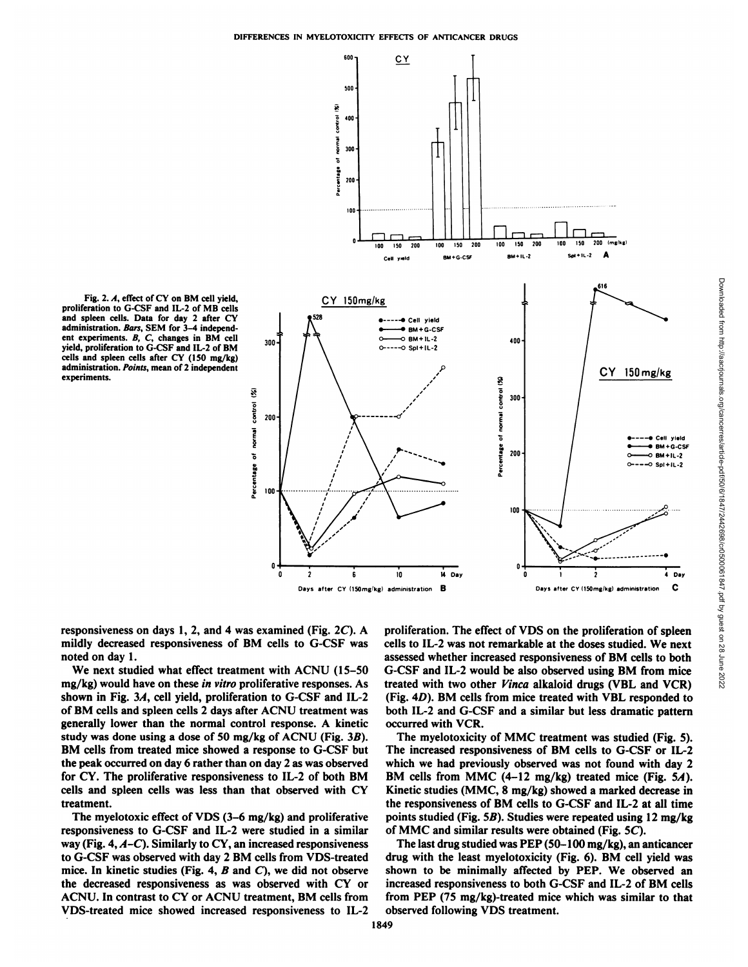

proliferation to G-CSF and IL-2 of MB cells and spleen cells. Data for day 2 after CY administration. Bars, SEM for 3-4 independent experiments. B, C, changes in BM cell yield, proliferation to G-CSF and IL-2 of BM cells and spleen cells after CY (150 mg/kg) administration. Points, mean of 2 independent experiments.

responsiveness on days 1, 2, and 4 was examined (Fig. 2C). A mildly decreased responsiveness of BM cells to G-CSF was noted on day 1.

We next studied what effect treatment with ACNU (15-50 mg/kg) would have on these in vitro proliferative responses. As shown in Fig. 3A, cell yield, proliferation to G-CSF and IL-2 of BM cells and spleen cells 2 days after ACNU treatment was generally lower than the normal control response. A kinetic study was done using a dose of 50 mg/kg of ACNU (Fig. 3B). BM cells from treated mice showed a response to G-CSF but the peak occurred on day 6 rather than on day 2 as was observed for CY. The proliferative responsiveness to IL-2 of both BM cells and spleen cells was less than that observed with CY treatment.

The myelotoxic effect of VDS (3–6 mg/kg) and proliferative responsiveness to G-CSF and IL-2 were studied in a similar way (Fig. 4,  $A-C$ ). Similarly to CY, an increased responsiveness to G-CSF was observed with day 2 BM cells from VDS-treated mice. In kinetic studies (Fig. 4,  $B$  and  $C$ ), we did not observe the decreased responsiveness as was observed with CY or ACNU. In contrast to CY or ACNU treatment, BM cells from VDS-treated mice showed increased responsiveness to IL-2 proliferation. The effect of VDS on the proliferation of spleen cells to IL-2 was not remarkable at the doses studied. We next assessed whether increased responsiveness of BM cells to both G-CSF and IL-2 would be also observed using BM from mice treated with two other Vinca alkaloid drugs (VBL and VCR) (Fig. 4D). BM cells from mice treated with VBL responded to both IL-2 and G-CSF and a similar but less dramatic pattern occurred with VCR.

The myelotoxicity of MMC treatment was studied (Fig. 5). The increased responsiveness of BM cells to G-CSF or IL-2 which we had previously observed was not found with day 2 BM cells from MMC (4-12 mg/kg) treated mice (Fig. 5A). Kinetic studies (MMC, 8 mg/kg) showed a marked decrease in the responsiveness of BM cells to G-CSF and IL-2 at all time points studied (Fig. 5B). Studies were repeated using 12 mg/kg of MMC and similar results were obtained (Fig. 5C).

The last drug studied was PEP  $(50-100 \text{ mg/kg})$ , an anticancer drug with the least myelotoxicity (Fig. 6). BM cell yield was shown to be minimally affected by PEP. We observed an increased responsiveness to both G-CSF and IL-2 of BM cells from PEP (75 mg/kg)-treated mice which was similar to that observed following VDS treatment.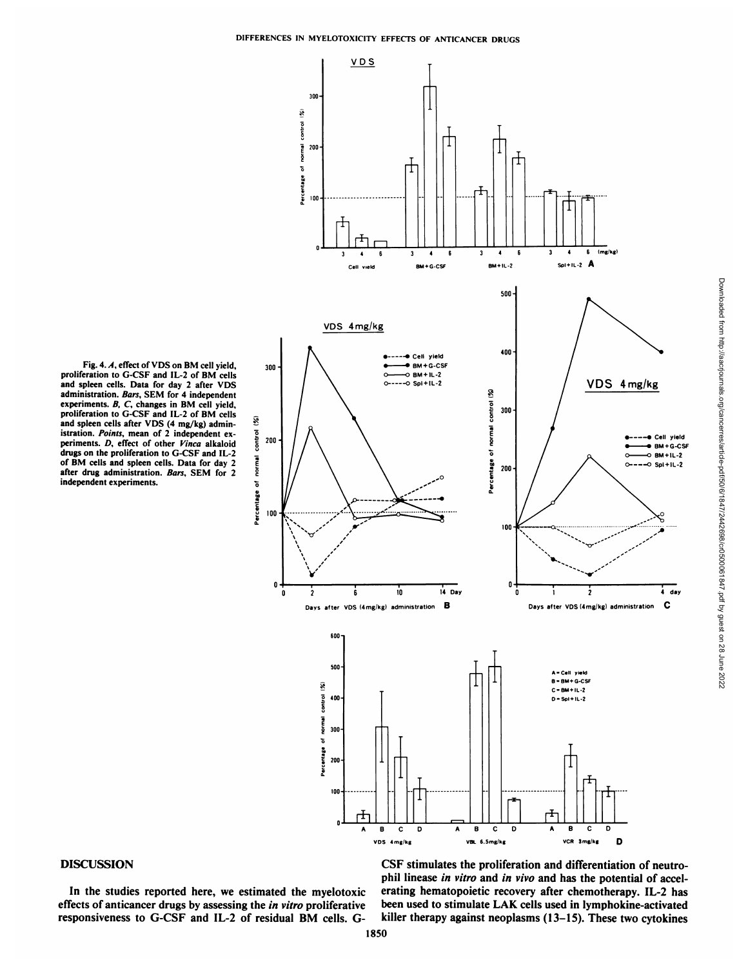

Downloaded from http://aacrjournals.org/cancerres/article-pdf/50/6/1847/2442698/cr0500061847.pdf by guest on 28 June 2022

Fig. 4. A, effect of VDS on BM cell yield, proliferation to G-CSF and IL-2 of BM cells<br>and spleen cells. Data for day 2 after VDS administration. Bars, SEM for 4 independent experiments. B, C, changes in BM cell yield,<br>proliferation to G-CSF and IL-2 of BM cells and spleen cells after VDS (4 mg/kg) administration. Points, mean of 2 independent experiments. D, effect of other Vinca alkaloid drugs on the proliferation to G-CSF and IL-2 of BM cells and spleen cells. Data for day 2 after drug administration. Bars, SEM for 2 independent experiments.

#### **DISCUSSION**

In the studies reported here, we estimated the myelotoxic effects of anticancer drugs by assessing the in vitro proliferative responsiveness to G-CSF and IL-2 of residual BM cells. G-

CSF stimulates the proliferation and differentiation of neutrophil linease in vitro and in vivo and has the potential of accelerating hematopoietic recovery after chemotherapy. IL-2 has been used to stimulate LAK cells used in lymphokine-activated killer therapy against neoplasms  $(13-15)$ . These two cytokines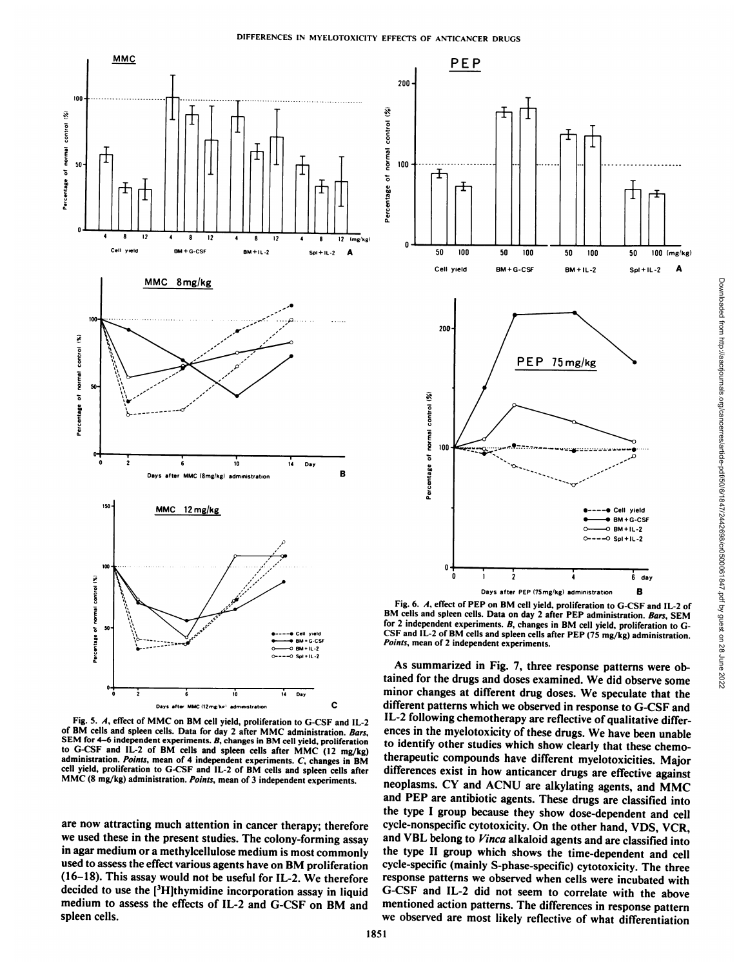

Fig. 5. A. effect of MMC on BM cell yield, proliferation to G-CSF and IL-2 of BM cells and spleen cells. Data for day 2 after MMC administration. Bars. SEM for 4-6 independent experiments. B, changes in BM cell yield, proliferation to G-CSF and IL-2 of BM cells and spleen cells after MMC (12 mg/kg) administration. Points, mean of 4 independent experiments. C, changes in BM cell yield, proliferation to G-CSF and IL-2 of BM cells and spleen cells after MMC (8 mg/kg) administration. Points, mean of 3 independent experiments.

are now attracting much attention in cancer therapy; therefore we used these in the present studies. The colony-forming assay in agar medium or a methylcellulose medium is most commonly used to assess the effect various agents have on BM proliferation (16-18). This assay would not be useful for IL-2. We therefore decided to use the [<sup>3</sup>H]thymidine incorporation assay in liquid medium to assess the effects of IL-2 and G-CSF on BM and spleen cells.



Fig. 6. A, effect of PEP on BM cell yield, proliferation to G-CSF and IL-2 of for 2 independent experiments. B, changes in BM cell yield, proliferation to G-CSF and IL-2 of BM cells and spleen cells after PEP (75 mg/kg) administration. Points, mean of 2 independent experiments.

As summarized in Fig. 7, three response patterns were ob tained for the drugs and doses examined. We did observe some minor changes at different drug doses. We speculate that the different patterns which we observed in response to G-CSF and IL-2 following chemotherapy are reflective of qualitative differ ences in the myelotoxicity of these drugs. We have been unable to identify other studies which show clearly that these chemotherapeutic compounds have different myelotoxicities. Major differences exist in how anticancer drugs are effective against neoplasms. CY and ACNU are alkylating agents, and MMC and PEP are antibiotic agents. These drugs are classified into the type I group because they show dose-dependent and cell cycle-nonspecific cytotoxicity. On the other hand, YDS, VCR, and VBL belong to Vinca alkaloid agents and are classified into the type II group which shows the time-dependent and cell cycle-specific (mainly S-phase-specific) cytotoxicity. The three response patterns we observed when cells were incubated with G-CSF and IL-2 did not seem to correlate with the above mentioned action patterns. The differences in response pattern we observed are most likely reflective of what differentiation